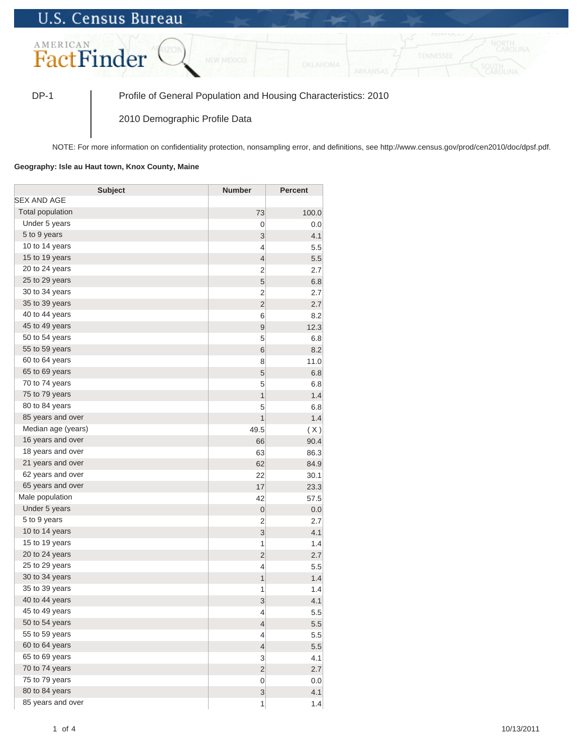## **U.S. Census Bureau**



DP-1 Profile of General Population and Housing Characteristics: 2010

2010 Demographic Profile Data

NOTE: For more information on confidentiality protection, nonsampling error, and definitions, see http://www.census.gov/prod/cen2010/doc/dpsf.pdf.

## **Geography: Isle au Haut town, Knox County, Maine**

| <b>Subject</b>     | <b>Number</b>    | <b>Percent</b> |
|--------------------|------------------|----------------|
| SEX AND AGE        |                  |                |
| Total population   | 73               | 100.0          |
| Under 5 years      | 0                | 0.0            |
| 5 to 9 years       | 3                | 4.1            |
| 10 to 14 years     | $\overline{4}$   | 5.5            |
| 15 to 19 years     | $\overline{4}$   | 5.5            |
| 20 to 24 years     | $\overline{2}$   | 2.7            |
| 25 to 29 years     | 5                | 6.8            |
| 30 to 34 years     | $\overline{2}$   | 2.7            |
| 35 to 39 years     | $\overline{c}$   | 2.7            |
| 40 to 44 years     | 6                | 8.2            |
| 45 to 49 years     | 9                | 12.3           |
| 50 to 54 years     | 5                | 6.8            |
| 55 to 59 years     | 6                | 8.2            |
| 60 to 64 years     | 8                | 11.0           |
| 65 to 69 years     | 5                | 6.8            |
| 70 to 74 years     | 5                | 6.8            |
| 75 to 79 years     | $\overline{1}$   | 1.4            |
| 80 to 84 years     | 5                | 6.8            |
| 85 years and over  | $\overline{1}$   | 1.4            |
| Median age (years) | 49.5             | (X)            |
| 16 years and over  | 66               | 90.4           |
| 18 years and over  | 63               | 86.3           |
| 21 years and over  | 62               | 84.9           |
| 62 years and over  | 22               | 30.1           |
| 65 years and over  | 17               | 23.3           |
| Male population    | 42               | 57.5           |
| Under 5 years      | $\mathbf 0$      | 0.0            |
| 5 to 9 years       | $\overline{2}$   | 2.7            |
| 10 to 14 years     | 3                | 4.1            |
| 15 to 19 years     | 1                | 1.4            |
| 20 to 24 years     | $\overline{2}$   | 2.7            |
| 25 to 29 years     | $\overline{4}$   | 5.5            |
| 30 to 34 years     | $\mathbf{1}$     | 1.4            |
| 35 to 39 years     | 1                | 1.4            |
| 40 to 44 years     | 3                | 4.1            |
| 45 to 49 years     | 4                | 5.5            |
| 50 to 54 years     | $\overline{4}$   | 5.5            |
| 55 to 59 years     | 4                | 5.5            |
| 60 to 64 years     | $\overline{4}$   | 5.5            |
| 65 to 69 years     | 3                | 4.1            |
| 70 to 74 years     | $\overline{2}$   | 2.7            |
| 75 to 79 years     | $\boldsymbol{0}$ | 0.0            |
| 80 to 84 years     | 3                | 4.1            |
| 85 years and over  | 1                | 1.4            |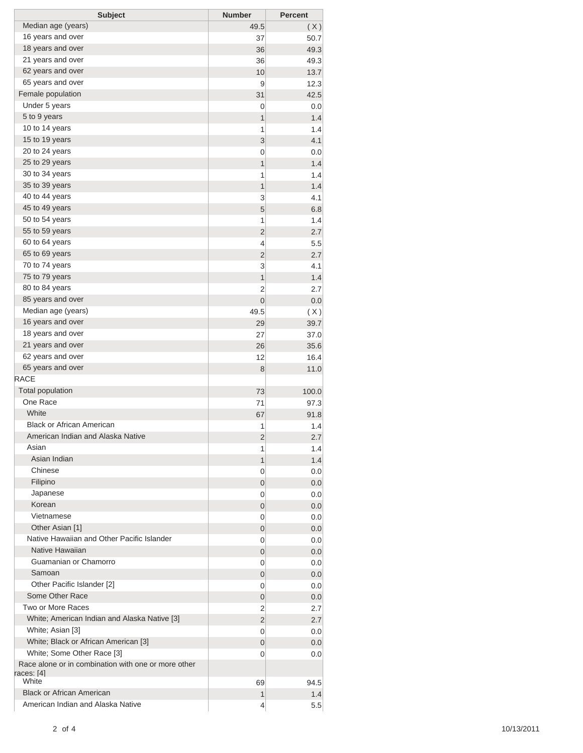| <b>Subject</b>                                      | <b>Number</b>  | <b>Percent</b> |
|-----------------------------------------------------|----------------|----------------|
| Median age (years)                                  | 49.5           | (X)            |
| 16 years and over                                   | 37             | 50.7           |
| 18 years and over                                   | 36             | 49.3           |
| 21 years and over                                   | 36             | 49.3           |
| 62 years and over                                   | 10             | 13.7           |
| 65 years and over                                   | 9              | 12.3           |
| Female population                                   | 31             | 42.5           |
| Under 5 years                                       | 0              | 0.0            |
| 5 to 9 years                                        | $\mathbf{1}$   | 1.4            |
| 10 to 14 years                                      | 1              | 1.4            |
| 15 to 19 years                                      | 3              | 4.1            |
| 20 to 24 years                                      | 0              | 0.0            |
| 25 to 29 years                                      | 1              | 1.4            |
| 30 to 34 years                                      | 1              | 1.4            |
| 35 to 39 years                                      | 1              | 1.4            |
| 40 to 44 years                                      | 3              | 4.1            |
| 45 to 49 years                                      | 5              | 6.8            |
| 50 to 54 years                                      | 1              | 1.4            |
| 55 to 59 years                                      | $\overline{2}$ | 2.7            |
| 60 to 64 years                                      | 4              | 5.5            |
| 65 to 69 years                                      | $\overline{2}$ | 2.7            |
| 70 to 74 years                                      | 3              | 4.1            |
| 75 to 79 years                                      | 1              | 1.4            |
| 80 to 84 years                                      | 2              | 2.7            |
| 85 years and over                                   | $\mathbf 0$    | 0.0            |
| Median age (years)                                  | 49.5           | (X)            |
| 16 years and over                                   | 29             | 39.7           |
| 18 years and over                                   | 27             | 37.0           |
| 21 years and over                                   | 26             | 35.6           |
| 62 years and over                                   | 12             | 16.4           |
| 65 years and over                                   | 8              | 11.0           |
| RACE                                                |                |                |
| <b>Total population</b>                             | 73             | 100.0          |
| One Race                                            | 71             | 97.3           |
| White                                               | 67             | 91.8           |
| <b>Black or African American</b>                    | 1              | 1.4            |
| American Indian and Alaska Native                   | 2              | 2.7            |
| Asian                                               | 1              | 1.4            |
| Asian Indian                                        | 1              | 1.4            |
| Chinese                                             | 0              | 0.0            |
| Filipino                                            | 0              | 0.0            |
| Japanese                                            | 0              | 0.0            |
| Korean                                              | 0              | 0.0            |
| Vietnamese                                          | 0              | 0.0            |
| Other Asian [1]                                     | 0              | 0.0            |
| Native Hawaiian and Other Pacific Islander          | 0              | 0.0            |
| Native Hawaiian                                     | 0              | 0.0            |
| Guamanian or Chamorro                               | 0              | 0.0            |
| Samoan                                              | 0              | 0.0            |
| Other Pacific Islander [2]                          | 0              | 0.0            |
| Some Other Race                                     | 0              | 0.0            |
| Two or More Races                                   | 2              | 2.7            |
| White; American Indian and Alaska Native [3]        | $\overline{2}$ | 2.7            |
| White; Asian [3]                                    | 0              | 0.0            |
| White; Black or African American [3]                | 0              | 0.0            |
| White; Some Other Race [3]                          | 0              | 0.0            |
| Race alone or in combination with one or more other |                |                |
| races: [4]                                          |                |                |
| White                                               | 69             | 94.5           |
| <b>Black or African American</b>                    | 1              | 1.4            |
| American Indian and Alaska Native                   | $\overline{4}$ | 5.5            |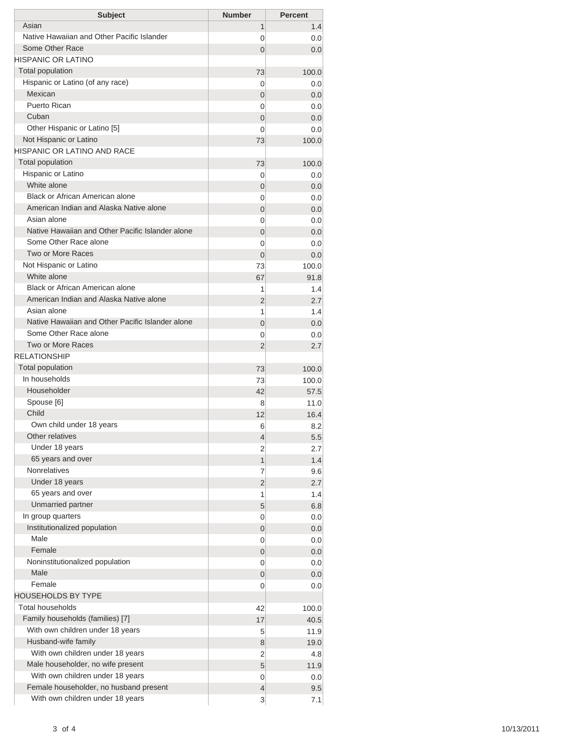| <b>Subject</b>                                                             | <b>Number</b>  | <b>Percent</b> |
|----------------------------------------------------------------------------|----------------|----------------|
| Asian                                                                      | 1              | 1.4            |
| Native Hawaiian and Other Pacific Islander                                 | 0              | 0.0            |
| Some Other Race                                                            | $\Omega$       | 0.0            |
| <b>HISPANIC OR LATINO</b>                                                  |                |                |
| <b>Total population</b>                                                    | 73             | 100.0          |
| Hispanic or Latino (of any race)                                           | 0              | 0.0            |
| Mexican                                                                    | 0              | 0.0            |
| Puerto Rican                                                               | 0              | 0.0            |
| Cuban                                                                      | 0              | 0.0            |
| Other Hispanic or Latino [5]                                               | $\Omega$       | 0.0            |
| Not Hispanic or Latino                                                     | 73             | 100.0          |
| <b>HISPANIC OR LATINO AND RACE</b>                                         |                |                |
| <b>Total population</b>                                                    | 73             | 100.0          |
| Hispanic or Latino                                                         | 0              | 0.0            |
| White alone                                                                | 0              | 0.0            |
| Black or African American alone                                            | 0              | 0.0            |
| American Indian and Alaska Native alone                                    | 0              | 0.0            |
| Asian alone                                                                | 0              | 0.0            |
| Native Hawaiian and Other Pacific Islander alone                           | $\overline{0}$ | 0.0            |
| Some Other Race alone                                                      | 0              | 0.0            |
| Two or More Races                                                          | $\Omega$       | 0.0            |
| Not Hispanic or Latino                                                     | 73             | 100.0          |
| White alone                                                                | 67             | 91.8           |
| Black or African American alone<br>American Indian and Alaska Native alone | 1              | 1.4            |
| Asian alone                                                                | 2              | 2.7            |
| Native Hawaiian and Other Pacific Islander alone                           | 1              | 1.4            |
| Some Other Race alone                                                      | $\overline{0}$ | 0.0            |
| <b>Two or More Races</b>                                                   | 0              | 0.0            |
| <b>RELATIONSHIP</b>                                                        | $\overline{2}$ | 2.7            |
| Total population                                                           |                |                |
| In households                                                              | 73             | 100.0          |
| Householder                                                                | 73<br>42       | 100.0          |
| Spouse [6]                                                                 | 8              | 57.5<br>11.0   |
| Child                                                                      | 12             | 16.4           |
| Own child under 18 years                                                   | 6              | 8.2            |
| Other relatives                                                            | $\overline{4}$ | 5.5            |
| Under 18 years                                                             | 2              | 2.7            |
| 65 years and over                                                          | 1              | 1.4            |
| <b>Nonrelatives</b>                                                        | 7              | 9.6            |
| Under 18 years                                                             | 2              | 2.7            |
| 65 years and over                                                          | 1              | 1.4            |
| Unmarried partner                                                          | 5              | 6.8            |
| In group quarters                                                          | 0              | 0.0            |
| Institutionalized population                                               | 0              | 0.0            |
| Male                                                                       | 0              | 0.0            |
| Female                                                                     | 0              | 0.0            |
| Noninstitutionalized population                                            | 0              | 0.0            |
| Male                                                                       | 0              | 0.0            |
| Female                                                                     | 0              | 0.0            |
| <b>HOUSEHOLDS BY TYPE</b>                                                  |                |                |
| <b>Total households</b>                                                    | 42             | 100.0          |
| Family households (families) [7]                                           | 17             | 40.5           |
| With own children under 18 years                                           | 5              | 11.9           |
| Husband-wife family                                                        | 8              | 19.0           |
| With own children under 18 years                                           | 2              | 4.8            |
| Male householder, no wife present                                          | 5              | 11.9           |
| With own children under 18 years                                           | 0              | 0.0            |
| Female householder, no husband present                                     | 4              | 9.5            |
|                                                                            |                |                |